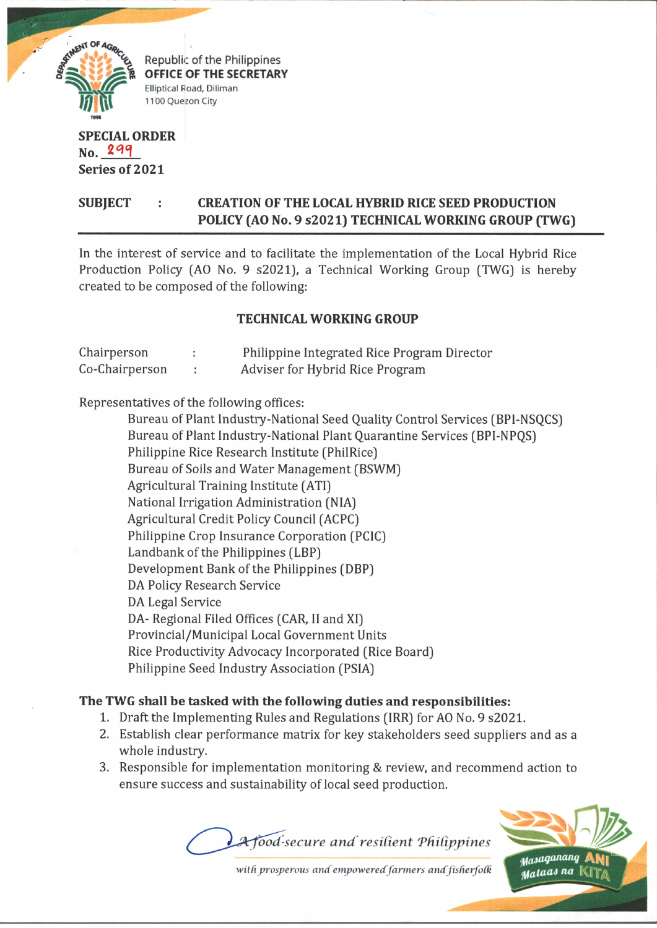

Republic of the Philippines **OFFICE OF THE SECRETARY** Elliptical Road, Diliman 1100 Quezon City

## **SPECIAL ORDER n o . 2 3 q Series of 2021**

# **SUBJECT : CREATION OF THE LOCAL HYBRID RICE SEED PRODUCTION POLICY (AO No. 9 s2021) TECHNICAL WORKING GROUP (TWG)**

In the interest of service and to facilitate the implementation of the Local Hybrid Rice Production Policy (AO No. 9 s2021), a Technical Working Group (TWG) is hereby created to be composed of the following:

### **TECHNICAL WORKING GROUP**

| Chairperson    | Philippine Integrated Rice Program Director |
|----------------|---------------------------------------------|
| Co-Chairperson | Adviser for Hybrid Rice Program             |

Representatives of the following offices:

Bureau of Plant Industry-National Seed Quality Control Services (BPI-NSQCS) Bureau of Plant Industry-National Plant Quarantine Services (BPI-NPQS) Philippine Rice Research Institute (PhilRice) Bureau of Soils and Water Management (BSWM) Agricultural Training Institute (ATI) National Irrigation Administration (NIA) Agricultural Credit Policy Council (ACPC) Philippine Crop Insurance Corporation (PCIC) Landbank of the Philippines (LBP) Development Bank of the Philippines (DBP) DA Policy Research Service DA Legal Service DA- Regional Filed Offices (CAR, II and XI) Provincial/Municipal Local Government Units Rice Productivity Advocacy Incorporated (Rice Board) Philippine Seed Industry Association (PSIA)

## **The TWG shall be tasked with the following duties and responsibilities:**

- 1. Draft the Implementing Rules and Regulations (IRR) for AO No. 9 s2021.
- 2. Establish clear performance matrix for key stakeholders seed suppliers and as a whole industry.
- 3. Responsible for implementation monitoring & review, and recommend action to ensure success and sustainability of local seed production.

1*vod'-secure an d'residen t 'Philippines*